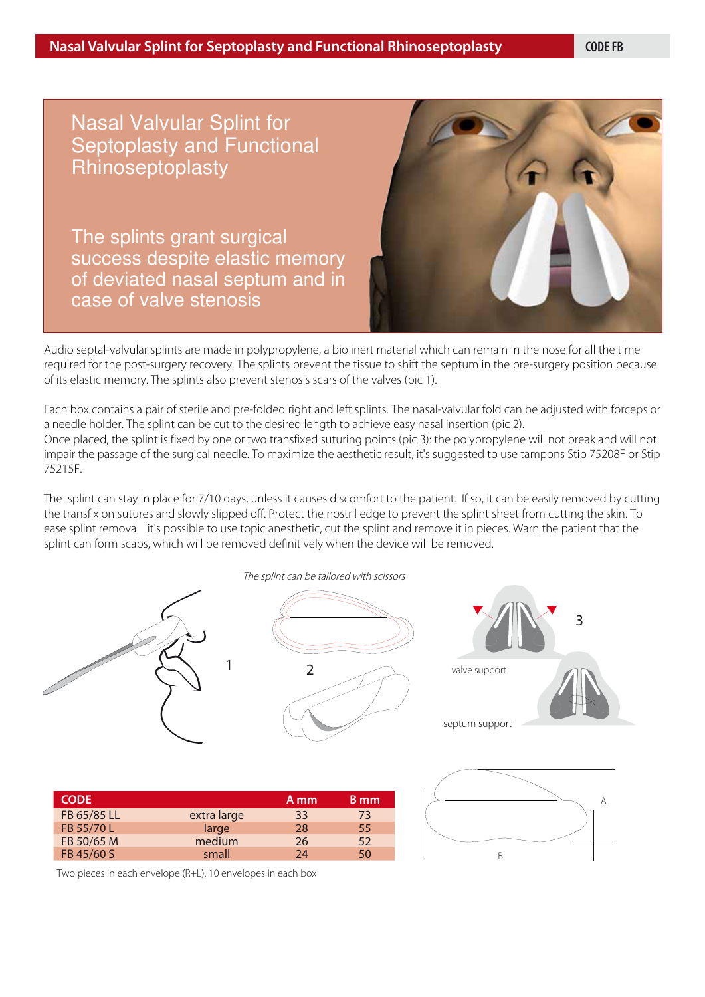Nasal Valvular Splint for Septoplasty and Functional Rhinoseptoplasty

**Device to prevent surgical failures due to the elastic memory**  of deviated nasal septum and in **of the septum and valve stenosis**  case of valve stenosis The splints grant surgical success despite elastic memory



Audio septal-valvular splints are made in polypropylene, a bio inert material which can remain in the nose for all the time required for the post-surgery recovery. The splints prevent the tissue to shift the septum in the pre-surgery position because of its elastic memory. The splints also prevent stenosis scars of the valves (pic 1).

Each box contains a pair of sterile and pre-folded right and left splints. The nasal-valvular fold can be adjusted with forceps or a needle holder. The splint can be cut to the desired length to achieve easy nasal insertion (pic 2). Once placed, the splint is fixed by one or two transfixed suturing points (pic 3): the polypropylene will not break and will not impair the passage of the surgical needle. To maximize the aesthetic result, it's suggested to use tampons Stip 75208F or Stip 75215F.

The splint can stay in place for 7/10 days, unless it causes discomfort to the patient. If so, it can be easily removed by cutting the transfixion sutures and slowly slipped off. Protect the nostril edge to prevent the splint sheet from cutting the skin. To ease splint removal it's possible to use topic anesthetic, cut the splint and remove it in pieces. Warn the patient that the splint can form scabs, which will be removed definitively when the device will be removed.



| <b>CODE</b> |             | A mm | B mm |
|-------------|-------------|------|------|
| FB 65/85 LL | extra large | 33   | 73   |
| FB 55/70 L  | large       | 28   | 55   |
| FB 50/65 M  | medium      | 26   | 52   |
| FB 45/60 S  | small       | 74   | 50   |



Two pieces in each envelope (R+L). 10 envelopes in each box